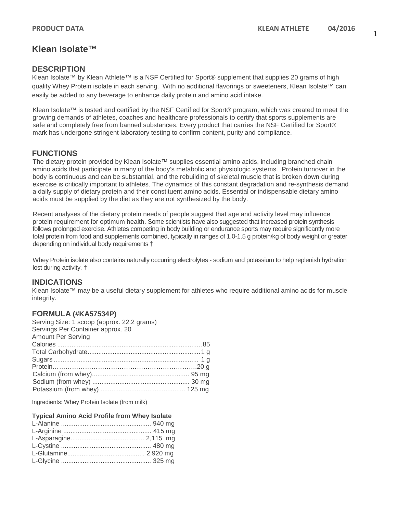## **Klean Isolate™**

#### **DESCRIPTION**

Klean Isolate™ by Klean Athlete™ is a NSF Certified for Sport® supplement that supplies 20 grams of high quality Whey Protein isolate in each serving. With no additional flavorings or sweeteners, Klean Isolate™ can easily be added to any beverage to enhance daily protein and amino acid intake.

Klean Isolate™ is tested and certified by the NSF Certified for Sport® program, which was created to meet the growing demands of athletes, coaches and healthcare professionals to certify that sports supplements are safe and completely free from banned substances. Every product that carries the NSF Certified for Sport® mark has undergone stringent laboratory testing to confirm content, purity and compliance.

#### **FUNCTIONS**

The dietary protein provided by Klean Isolate™ supplies essential amino acids, including branched chain amino acids that participate in many of the body's metabolic and physiologic systems. Protein turnover in the body is continuous and can be substantial, and the rebuilding of skeletal muscle that is broken down during exercise is critically important to athletes. The dynamics of this constant degradation and re-synthesis demand a daily supply of dietary protein and their constituent amino acids. Essential or indispensable dietary amino acids must be supplied by the diet as they are not synthesized by the body.

Recent analyses of the dietary protein needs of people suggest that age and activity level may influence protein requirement for optimum health. Some scientists have also suggested that increased protein synthesis follows prolonged exercise. Athletes competing in body building or endurance sports may require significantly more total protein from food and supplements combined, typically in ranges of 1.0-1.5 g protein/kg of body weight or greater depending on individual body requirements †

Whey Protein isolate also contains naturally occurring electrolytes - sodium and potassium to help replenish hydration lost during activity. †

#### **INDICATIONS**

Klean Isolate™ may be a useful dietary supplement for athletes who require additional amino acids for muscle integrity.

#### **FORMULA (#KA57534P)**

| Serving Size: 1 scoop (approx. 22.2 grams) |  |
|--------------------------------------------|--|
| Servings Per Container approx. 20          |  |
| <b>Amount Per Serving</b>                  |  |
|                                            |  |
|                                            |  |
|                                            |  |
|                                            |  |
|                                            |  |
|                                            |  |
|                                            |  |

Ingredients: Whey Protein Isolate (from milk)

| <b>Typical Amino Acid Profile from Whey Isolate</b> |
|-----------------------------------------------------|
|                                                     |
|                                                     |
|                                                     |
|                                                     |
|                                                     |
|                                                     |
|                                                     |